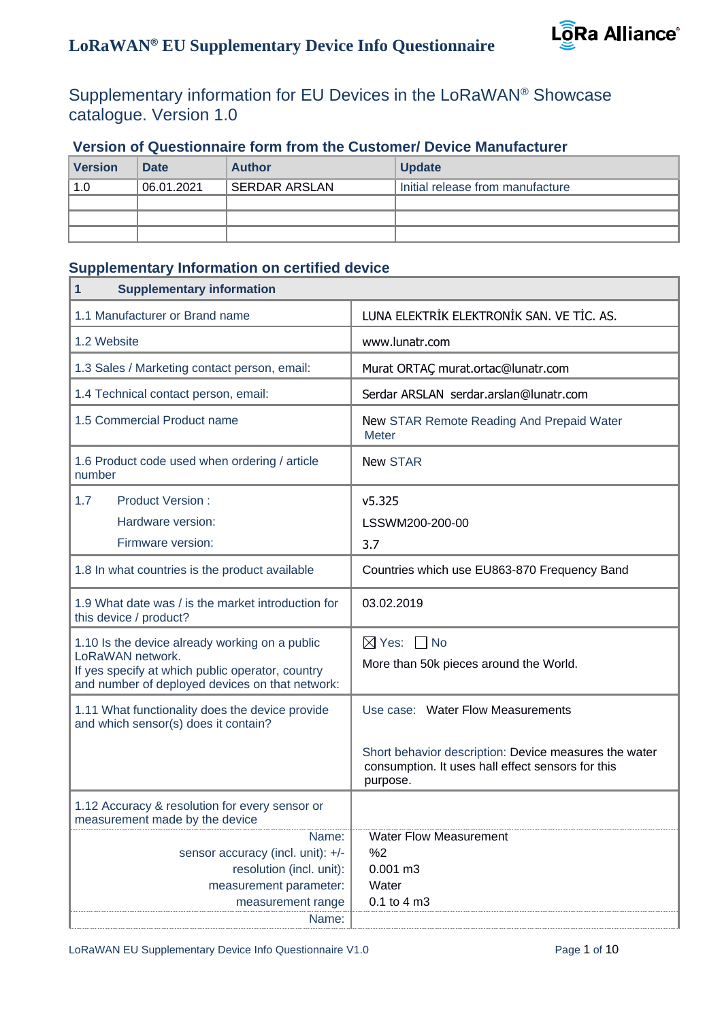#### Supplementary information for EU Devices in the LoRaWAN® Showcase catalogue. Version 1.0

| <b>Version</b> | <b>Date</b> | <b>Author</b> | <b>Update</b>                    |
|----------------|-------------|---------------|----------------------------------|
| 1.0            | 06.01.2021  | SERDAR ARSLAN | Initial release from manufacture |
|                |             |               |                                  |
|                |             |               |                                  |
|                |             |               |                                  |

#### **Version of Questionnaire form from the Customer/ Device Manufacturer**

#### **Supplementary Information on certified device**

| <b>Supplementary information</b><br>1                                                                                                                                     |                                                                                                                        |
|---------------------------------------------------------------------------------------------------------------------------------------------------------------------------|------------------------------------------------------------------------------------------------------------------------|
| 1.1 Manufacturer or Brand name                                                                                                                                            | LUNA ELEKTRİK ELEKTRONİK SAN. VE TİC. AS.                                                                              |
| 1.2 Website                                                                                                                                                               | www.lunatr.com                                                                                                         |
| 1.3 Sales / Marketing contact person, email:                                                                                                                              | Murat ORTAÇ murat.ortac@lunatr.com                                                                                     |
| 1.4 Technical contact person, email:                                                                                                                                      | Serdar ARSLAN serdar.arslan@lunatr.com                                                                                 |
| 1.5 Commercial Product name                                                                                                                                               | New STAR Remote Reading And Prepaid Water<br><b>Meter</b>                                                              |
| 1.6 Product code used when ordering / article<br>number                                                                                                                   | <b>New STAR</b>                                                                                                        |
| 1.7<br><b>Product Version:</b><br>Hardware version:<br>Firmware version:                                                                                                  | v5.325<br>LSSWM200-200-00<br>3.7                                                                                       |
| 1.8 In what countries is the product available                                                                                                                            | Countries which use EU863-870 Frequency Band                                                                           |
| 1.9 What date was / is the market introduction for<br>this device / product?                                                                                              | 03.02.2019                                                                                                             |
| 1.10 Is the device already working on a public<br>LoRaWAN network.<br>If yes specify at which public operator, country<br>and number of deployed devices on that network: | $\boxtimes$ Yes: $\Box$ No<br>More than 50k pieces around the World.                                                   |
| 1.11 What functionality does the device provide<br>and which sensor(s) does it contain?                                                                                   | Use case: Water Flow Measurements                                                                                      |
|                                                                                                                                                                           | Short behavior description: Device measures the water<br>consumption. It uses hall effect sensors for this<br>purpose. |
| 1.12 Accuracy & resolution for every sensor or<br>measurement made by the device                                                                                          |                                                                                                                        |
| Name:<br>sensor accuracy (incl. unit): +/-<br>resolution (incl. unit):<br>measurement parameter:<br>measurement range<br>Name:                                            | <b>Water Flow Measurement</b><br>%2<br>$0.001 \text{ m}3$<br>Water<br>0.1 to 4 m3                                      |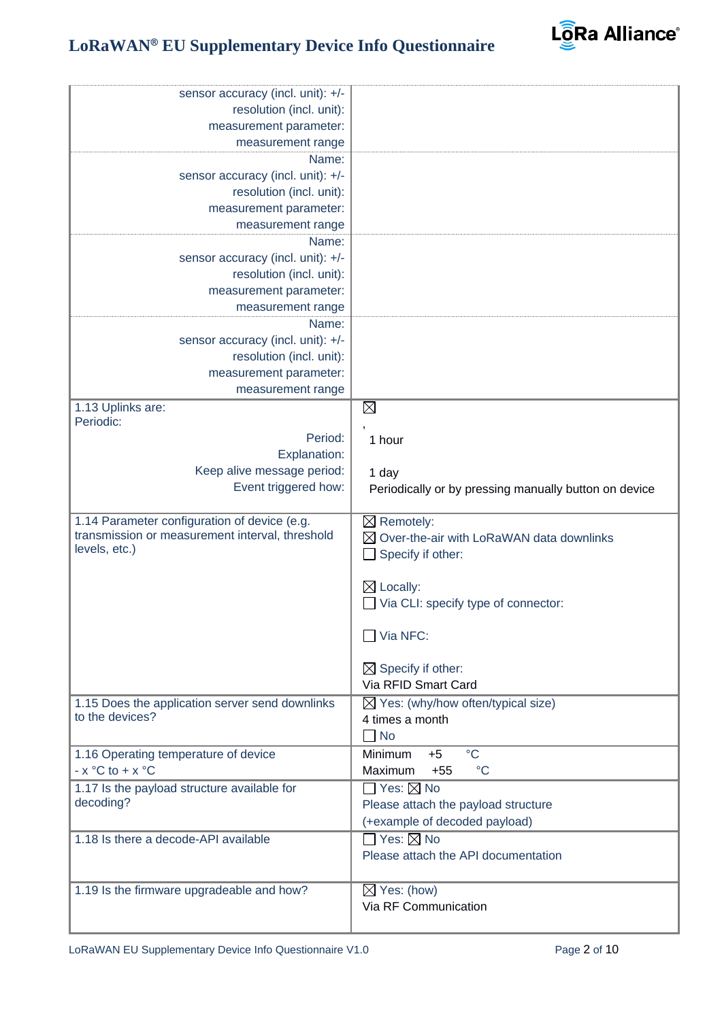

| sensor accuracy (incl. unit): +/-               |                                                       |
|-------------------------------------------------|-------------------------------------------------------|
| resolution (incl. unit):                        |                                                       |
| measurement parameter:                          |                                                       |
| measurement range                               |                                                       |
| Name:                                           |                                                       |
| sensor accuracy (incl. unit): +/-               |                                                       |
| resolution (incl. unit):                        |                                                       |
| measurement parameter:                          |                                                       |
| measurement range                               |                                                       |
| Name:                                           |                                                       |
| sensor accuracy (incl. unit): +/-               |                                                       |
| resolution (incl. unit):                        |                                                       |
| measurement parameter:                          |                                                       |
| measurement range                               |                                                       |
| Name:                                           |                                                       |
| sensor accuracy (incl. unit): +/-               |                                                       |
| resolution (incl. unit):                        |                                                       |
| measurement parameter:                          |                                                       |
| measurement range                               |                                                       |
| 1.13 Uplinks are:                               | $\boxtimes$                                           |
| Periodic:                                       |                                                       |
| Period:                                         | 1 hour                                                |
| Explanation:                                    |                                                       |
| Keep alive message period:                      | 1 day                                                 |
| Event triggered how:                            |                                                       |
|                                                 | Periodically or by pressing manually button on device |
| 1.14 Parameter configuration of device (e.g.    | $\boxtimes$ Remotely:                                 |
| transmission or measurement interval, threshold | Over-the-air with LoRaWAN data downlinks              |
| levels, etc.)                                   | Specify if other:                                     |
|                                                 |                                                       |
|                                                 | $\boxtimes$ Locally:                                  |
|                                                 |                                                       |
|                                                 | Via CLI: specify type of connector:                   |
|                                                 | $\Box$ Via NFC:                                       |
|                                                 |                                                       |
|                                                 |                                                       |
|                                                 | $\boxtimes$ Specify if other:                         |
|                                                 |                                                       |
|                                                 | Via RFID Smart Card                                   |
| 1.15 Does the application server send downlinks | $\boxtimes$ Yes: (why/how often/typical size)         |
| to the devices?                                 | 4 times a month                                       |
|                                                 | <b>No</b>                                             |
| 1.16 Operating temperature of device            | $\rm ^{\circ}C$<br>Minimum<br>$+5$                    |
| $- x °C$ to $+ x °C$                            | $^{\circ}C$<br>Maximum<br>$+55$                       |
| 1.17 Is the payload structure available for     | $\square$ Yes: $\square$ No                           |
| decoding?                                       | Please attach the payload structure                   |
|                                                 | (+example of decoded payload)                         |
| 1.18 Is there a decode-API available            | $\Box$ Yes: $\boxtimes$ No                            |
|                                                 | Please attach the API documentation                   |
|                                                 |                                                       |
|                                                 |                                                       |
| 1.19 Is the firmware upgradeable and how?       | $\boxtimes$ Yes: (how)<br>Via RF Communication        |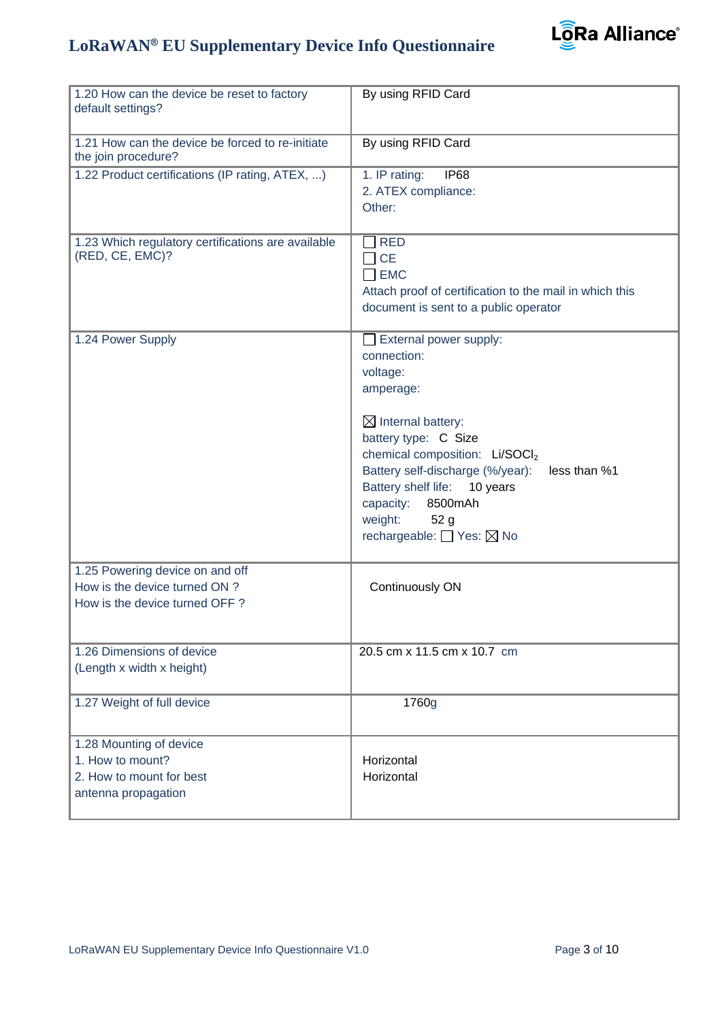

| 1.20 How can the device be reset to factory<br>default settings?                                  | By using RFID Card                                                                                                                                                                                                                                                                                                                             |
|---------------------------------------------------------------------------------------------------|------------------------------------------------------------------------------------------------------------------------------------------------------------------------------------------------------------------------------------------------------------------------------------------------------------------------------------------------|
| 1.21 How can the device be forced to re-initiate<br>the join procedure?                           | By using RFID Card                                                                                                                                                                                                                                                                                                                             |
| 1.22 Product certifications (IP rating, ATEX, )                                                   | 1. IP rating:<br><b>IP68</b><br>2. ATEX compliance:<br>Other:                                                                                                                                                                                                                                                                                  |
| 1.23 Which regulatory certifications are available<br>(RED, CE, EMC)?                             | <b>RED</b><br><b>CE</b><br>$\Box$ EMC<br>Attach proof of certification to the mail in which this<br>document is sent to a public operator                                                                                                                                                                                                      |
| 1.24 Power Supply                                                                                 | External power supply:<br>connection:<br>voltage:<br>amperage:<br>$\boxtimes$ Internal battery:<br>battery type: C Size<br>chemical composition: Li/SOCI2<br>Battery self-discharge (%/year):<br>less than %1<br>Battery shelf life:<br>10 years<br>capacity:<br>8500mAh<br>weight:<br>52 <sub>g</sub><br>rechargeable: <sup>1</sup> Yes: ⊠ No |
| 1.25 Powering device on and off<br>How is the device turned ON ?<br>How is the device turned OFF? | Continuously ON                                                                                                                                                                                                                                                                                                                                |
| 1.26 Dimensions of device<br>(Length x width x height)                                            | 20.5 cm x 11.5 cm x 10.7 cm                                                                                                                                                                                                                                                                                                                    |
| 1.27 Weight of full device                                                                        | 1760g                                                                                                                                                                                                                                                                                                                                          |
| 1.28 Mounting of device<br>1. How to mount?<br>2. How to mount for best<br>antenna propagation    | Horizontal<br>Horizontal                                                                                                                                                                                                                                                                                                                       |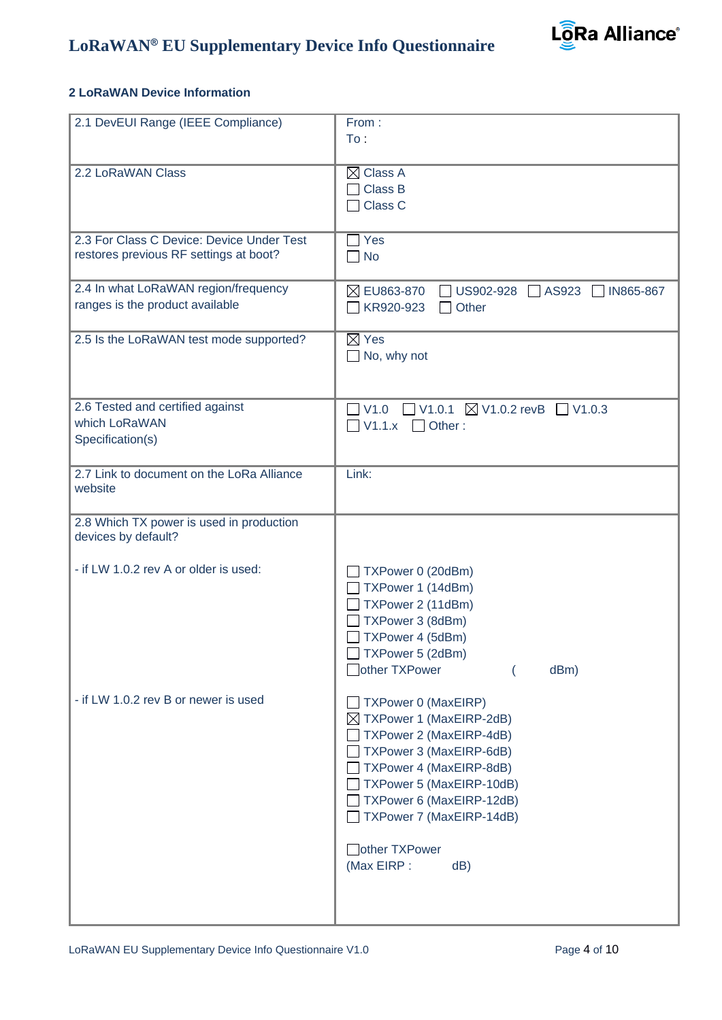

#### **2 LoRaWAN Device Information**

| 2.1 DevEUI Range (IEEE Compliance)                                                  | From:<br>To:                                                                                                                                                                                                                           |
|-------------------------------------------------------------------------------------|----------------------------------------------------------------------------------------------------------------------------------------------------------------------------------------------------------------------------------------|
| 2.2 LoRaWAN Class                                                                   | $\boxtimes$ Class A<br>Class B<br>Class C<br>$\blacksquare$                                                                                                                                                                            |
| 2.3 For Class C Device: Device Under Test<br>restores previous RF settings at boot? | Yes<br><b>No</b><br>$\blacksquare$                                                                                                                                                                                                     |
| 2.4 In what LoRaWAN region/frequency<br>ranges is the product available             | $\boxtimes$ EU863-870<br>US902-928<br>$\Box$ AS923<br>$\Box$ IN865-867<br>$\Box$ Other<br>KR920-923                                                                                                                                    |
| 2.5 Is the LoRaWAN test mode supported?                                             | $\boxtimes$ Yes<br>$\Box$ No, why not                                                                                                                                                                                                  |
| 2.6 Tested and certified against<br>which LoRaWAN<br>Specification(s)               | $\Box$ V1.0.1 $\boxtimes$ V1.0.2 revB $\Box$ V1.0.3<br>V1.0<br>$\Box$ V1.1. $x$ $\Box$ Other :                                                                                                                                         |
| 2.7 Link to document on the LoRa Alliance<br>website                                | Link:                                                                                                                                                                                                                                  |
| 2.8 Which TX power is used in production<br>devices by default?                     |                                                                                                                                                                                                                                        |
| - if LW 1.0.2 rev A or older is used:                                               | TXPower 0 (20dBm)<br>TXPower 1 (14dBm)<br>TXPower 2 (11dBm)<br>TXPower 3 (8dBm)<br>TXPower 4 (5dBm)<br>TXPower 5 (2dBm)<br>□ other TXPower<br>dBm)                                                                                     |
| - if LW 1.0.2 rev B or newer is used                                                | <b>TXPower 0 (MaxEIRP)</b><br>$\boxtimes$ TXPower 1 (MaxEIRP-2dB)<br>TXPower 2 (MaxEIRP-4dB)<br>TXPower 3 (MaxEIRP-6dB)<br>TXPower 4 (MaxEIRP-8dB)<br>TXPower 5 (MaxEIRP-10dB)<br>TXPower 6 (MaxEIRP-12dB)<br>TXPower 7 (MaxEIRP-14dB) |
|                                                                                     | other TXPower<br>(Max EIRP :<br>dB)                                                                                                                                                                                                    |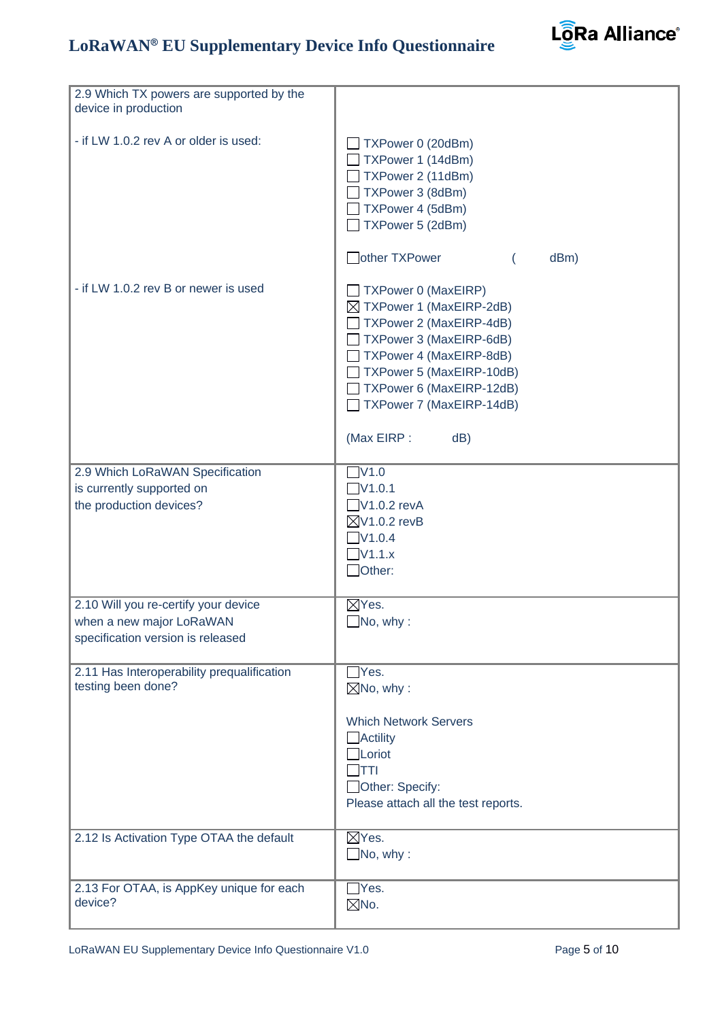

| 2.9 Which TX powers are supported by the<br>device in production |                                                                                                                                                                                                                                             |
|------------------------------------------------------------------|---------------------------------------------------------------------------------------------------------------------------------------------------------------------------------------------------------------------------------------------|
| - if LW 1.0.2 rev A or older is used:                            | TXPower 0 (20dBm)<br>TXPower 1 (14dBm)<br>TXPower 2 (11dBm)<br>TXPower 3 (8dBm)<br>TXPower 4 (5dBm)<br>TXPower 5 (2dBm)                                                                                                                     |
|                                                                  | other TXPower<br>dBm)                                                                                                                                                                                                                       |
| - if LW 1.0.2 rev B or newer is used                             | TXPower 0 (MaxEIRP)<br>⊠ TXPower 1 (MaxEIRP-2dB)<br>TXPower 2 (MaxEIRP-4dB)<br>TXPower 3 (MaxEIRP-6dB)<br>TXPower 4 (MaxEIRP-8dB)<br>TXPower 5 (MaxEIRP-10dB)<br>TXPower 6 (MaxEIRP-12dB)<br>TXPower 7 (MaxEIRP-14dB)<br>(Max EIRP :<br>dB) |
|                                                                  |                                                                                                                                                                                                                                             |
| 2.9 Which LoRaWAN Specification                                  | $\nabla$ V1.0                                                                                                                                                                                                                               |
| is currently supported on                                        | $\nabla$ 1.0.1                                                                                                                                                                                                                              |
| the production devices?                                          | $\Box$ V1.0.2 revA<br>$\boxtimes$ V1.0.2 revB                                                                                                                                                                                               |
|                                                                  | $\nabla$ V1.0.4                                                                                                                                                                                                                             |
|                                                                  | $\nabla$ 1.1.x                                                                                                                                                                                                                              |
|                                                                  | $\Box$ Other:                                                                                                                                                                                                                               |
|                                                                  |                                                                                                                                                                                                                                             |
| 2.10 Will you re-certify your device                             | $\boxtimes$ Yes.                                                                                                                                                                                                                            |
| when a new major LoRaWAN                                         | $\Box$ No, why:                                                                                                                                                                                                                             |
| specification version is released                                |                                                                                                                                                                                                                                             |
|                                                                  |                                                                                                                                                                                                                                             |
| 2.11 Has Interoperability prequalification                       | Yes.                                                                                                                                                                                                                                        |
| testing been done?                                               | $\boxtimes$ No, why:                                                                                                                                                                                                                        |
|                                                                  |                                                                                                                                                                                                                                             |
|                                                                  | <b>Which Network Servers</b>                                                                                                                                                                                                                |
|                                                                  | $\Box$ Actility<br>$\Box$ Loriot                                                                                                                                                                                                            |
|                                                                  | ודדך                                                                                                                                                                                                                                        |
|                                                                  | Other: Specify:                                                                                                                                                                                                                             |
|                                                                  | Please attach all the test reports.                                                                                                                                                                                                         |
|                                                                  |                                                                                                                                                                                                                                             |
| 2.12 Is Activation Type OTAA the default                         | $\boxtimes$ Yes.                                                                                                                                                                                                                            |
|                                                                  | $\Box$ No, why:                                                                                                                                                                                                                             |
|                                                                  |                                                                                                                                                                                                                                             |
| 2.13 For OTAA, is AppKey unique for each                         | $\Box$ Yes.                                                                                                                                                                                                                                 |
| device?                                                          | $\boxtimes$ No.                                                                                                                                                                                                                             |
|                                                                  |                                                                                                                                                                                                                                             |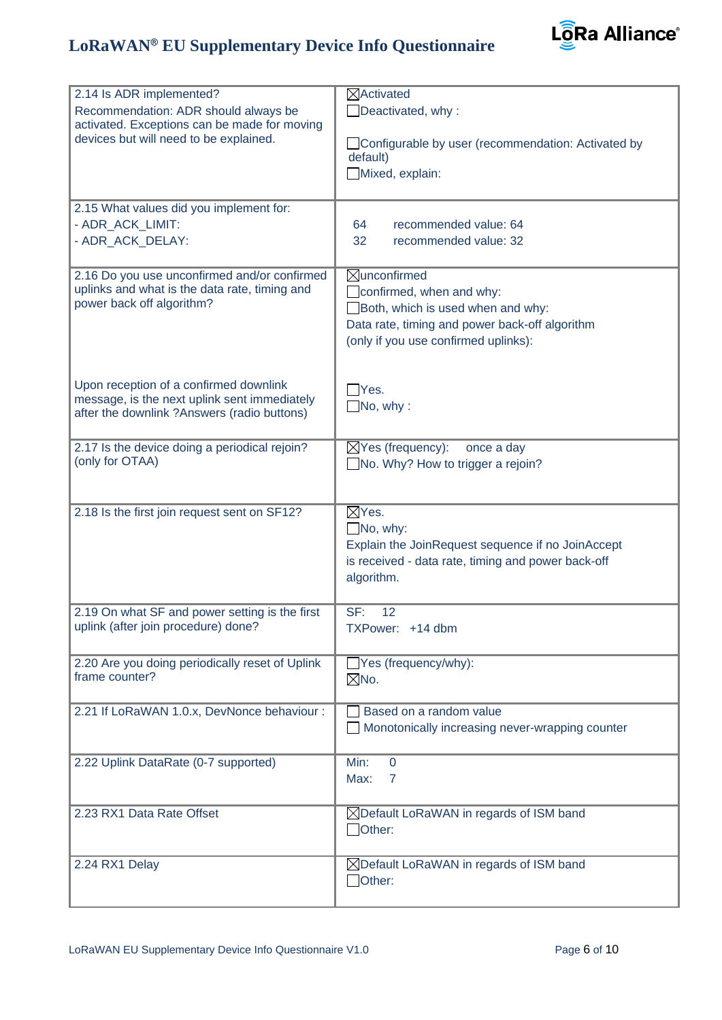

| 2.14 Is ADR implemented?<br>Recommendation: ADR should always be                            | $\boxtimes$ Activated                                      |
|---------------------------------------------------------------------------------------------|------------------------------------------------------------|
| activated. Exceptions can be made for moving                                                | $\Box$ Deactivated, why:                                   |
| devices but will need to be explained.                                                      | □ Configurable by user (recommendation: Activated by       |
|                                                                                             | default)                                                   |
|                                                                                             | Mixed, explain:                                            |
|                                                                                             |                                                            |
| 2.15 What values did you implement for:<br>- ADR ACK LIMIT:                                 |                                                            |
| - ADR_ACK_DELAY:                                                                            | recommended value: 64<br>64<br>32<br>recommended value: 32 |
|                                                                                             |                                                            |
| 2.16 Do you use unconfirmed and/or confirmed                                                | <b>Xunconfirmed</b>                                        |
| uplinks and what is the data rate, timing and                                               | $\Box$ confirmed, when and why:                            |
| power back off algorithm?                                                                   | Both, which is used when and why:                          |
|                                                                                             | Data rate, timing and power back-off algorithm             |
|                                                                                             | (only if you use confirmed uplinks):                       |
|                                                                                             |                                                            |
| Upon reception of a confirmed downlink                                                      | Yes.                                                       |
| message, is the next uplink sent immediately<br>after the downlink ?Answers (radio buttons) | $\Box$ No, why:                                            |
|                                                                                             |                                                            |
| 2.17 Is the device doing a periodical rejoin?                                               | $\boxtimes$ Yes (frequency):<br>once a day                 |
| (only for OTAA)                                                                             | $\Box$ No. Why? How to trigger a rejoin?                   |
|                                                                                             |                                                            |
| 2.18 Is the first join request sent on SF12?                                                | $\boxtimes$ Yes.                                           |
|                                                                                             | $\Box$ No, why:                                            |
|                                                                                             | Explain the JoinRequest sequence if no JoinAccept          |
|                                                                                             | is received - data rate, timing and power back-off         |
|                                                                                             | algorithm.                                                 |
| 2.19 On what SF and power setting is the first                                              | SF:<br>12                                                  |
| uplink (after join procedure) done?                                                         | TXPower: +14 dbm                                           |
|                                                                                             |                                                            |
| 2.20 Are you doing periodically reset of Uplink<br>frame counter?                           | $\Box$ Yes (frequency/why):                                |
|                                                                                             | $\boxtimes$ No.                                            |
| 2.21 If LoRaWAN 1.0.x, DevNonce behaviour :                                                 | Based on a random value                                    |
|                                                                                             | Monotonically increasing never-wrapping counter            |
|                                                                                             |                                                            |
| 2.22 Uplink DataRate (0-7 supported)                                                        | Min:<br>$\mathbf{0}$<br>Max:<br>$\overline{7}$             |
|                                                                                             |                                                            |
| 2.23 RX1 Data Rate Offset                                                                   | ⊠Default LoRaWAN in regards of ISM band                    |
|                                                                                             | $\Box$ Other:                                              |
|                                                                                             |                                                            |
| 2.24 RX1 Delay                                                                              | ⊠Default LoRaWAN in regards of ISM band                    |
|                                                                                             | Other:                                                     |
|                                                                                             |                                                            |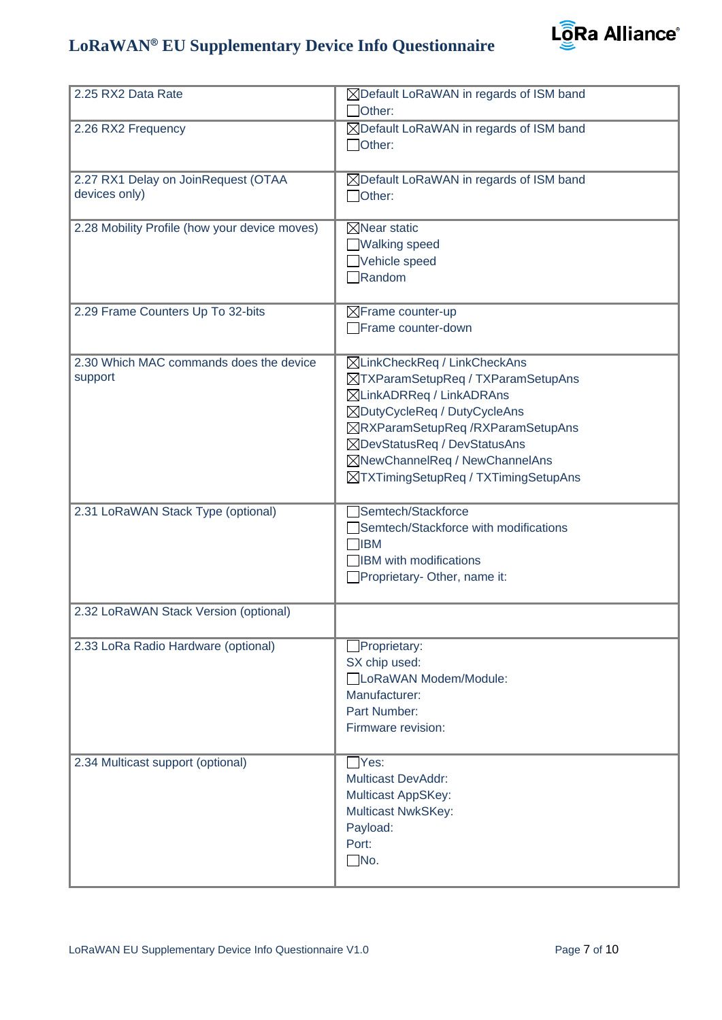

| 2.25 RX2 Data Rate                                   | $\boxtimes$ Default LoRaWAN in regards of ISM band<br>Other:                                                                                                                                                                                                                  |
|------------------------------------------------------|-------------------------------------------------------------------------------------------------------------------------------------------------------------------------------------------------------------------------------------------------------------------------------|
| 2.26 RX2 Frequency                                   | ⊠Default LoRaWAN in regards of ISM band<br>Other:                                                                                                                                                                                                                             |
| 2.27 RX1 Delay on JoinRequest (OTAA<br>devices only) | ⊠Default LoRaWAN in regards of ISM band<br>$\Box$ Other:                                                                                                                                                                                                                      |
| 2.28 Mobility Profile (how your device moves)        | $\boxtimes$ Near static<br>■Walking speed<br>Vehicle speed<br>$\Box$ Random                                                                                                                                                                                                   |
| 2.29 Frame Counters Up To 32-bits                    | $\boxtimes$ Frame counter-up<br>Frame counter-down                                                                                                                                                                                                                            |
| 2.30 Which MAC commands does the device<br>support   | ⊠LinkCheckReq / LinkCheckAns<br>⊠TXParamSetupReq / TXParamSetupAns<br>⊠LinkADRReq / LinkADRAns<br>⊠DutyCycleReq / DutyCycleAns<br>⊠RXParamSetupReq /RXParamSetupAns<br>⊠DevStatusReq / DevStatusAns<br>⊠NewChannelReq / NewChannelAns<br>⊠TXTimingSetupReq / TXTimingSetupAns |
| 2.31 LoRaWAN Stack Type (optional)                   | Semtech/Stackforce<br>Semtech/Stackforce with modifications<br>$\bigcap$ IBM<br><b>IBM</b> with modifications<br>Proprietary-Other, name it:                                                                                                                                  |
| 2.32 LoRaWAN Stack Version (optional)                |                                                                                                                                                                                                                                                                               |
| 2.33 LoRa Radio Hardware (optional)                  | $\Box$ Proprietary:<br>SX chip used:<br>□LoRaWAN Modem/Module:<br>Manufacturer:<br>Part Number:<br>Firmware revision:                                                                                                                                                         |
| 2.34 Multicast support (optional)                    | $\exists$ Yes:<br><b>Multicast DevAddr:</b><br><b>Multicast AppSKey:</b><br><b>Multicast NwkSKey:</b><br>Payload:<br>Port:<br>$\Box$ No.                                                                                                                                      |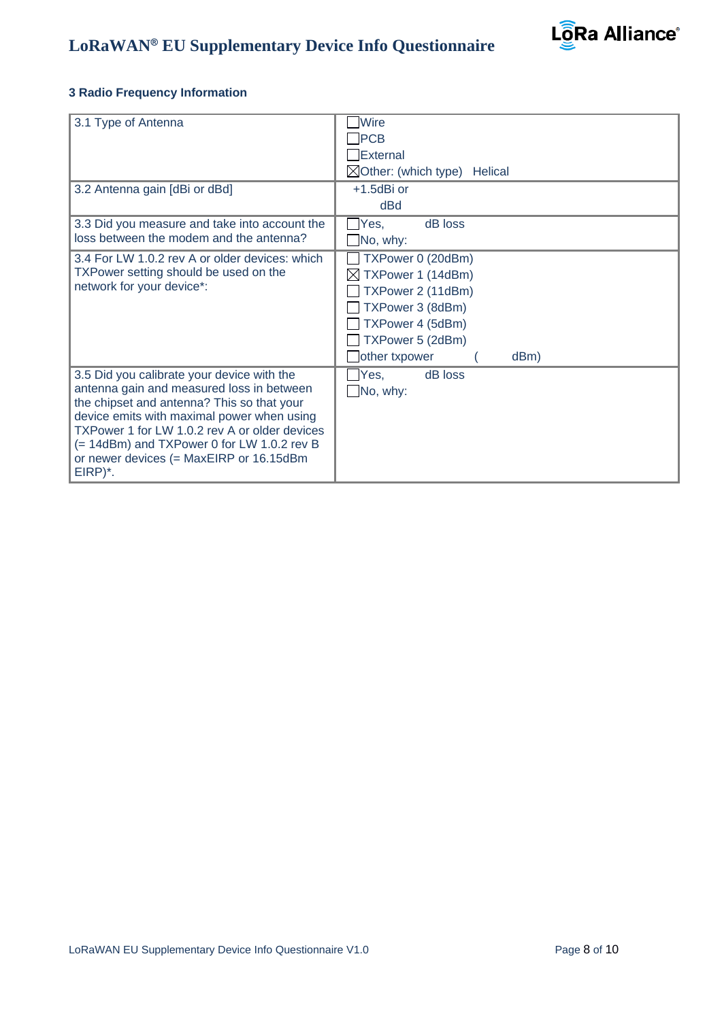

#### **3 Radio Frequency Information**

| 3.1 Type of Antenna<br>3.2 Antenna gain [dBi or dBd]                                                                                                                                                                                                                                                                                     | <b>Wire</b><br>$\neg$ PCB<br>External<br>$\boxtimes$ Other: (which type) Helical<br>+1.5dBi or                                                        |
|------------------------------------------------------------------------------------------------------------------------------------------------------------------------------------------------------------------------------------------------------------------------------------------------------------------------------------------|-------------------------------------------------------------------------------------------------------------------------------------------------------|
| 3.3 Did you measure and take into account the<br>loss between the modem and the antenna?                                                                                                                                                                                                                                                 | dBd<br>Yes,<br>dB loss<br>$\Box$ No, why:                                                                                                             |
| 3.4 For LW 1.0.2 rev A or older devices: which<br>TXPower setting should be used on the<br>network for your device*:                                                                                                                                                                                                                     | TXPower 0 (20dBm)<br>TXPower 1 (14dBm)<br>⊠<br>TXPower 2 (11dBm)<br>TXPower 3 (8dBm)<br>TXPower 4 (5dBm)<br>TXPower 5 (2dBm)<br>other txpower<br>dBm) |
| 3.5 Did you calibrate your device with the<br>antenna gain and measured loss in between<br>the chipset and antenna? This so that your<br>device emits with maximal power when using<br>TXPower 1 for LW 1.0.2 rev A or older devices<br>(= 14dBm) and TXPower 0 for LW 1.0.2 rev B<br>or newer devices (= MaxEIRP or 16.15dBm<br>EIRP)*. | $\Box$ Yes,<br>dB loss<br>$\Box$ No, why:                                                                                                             |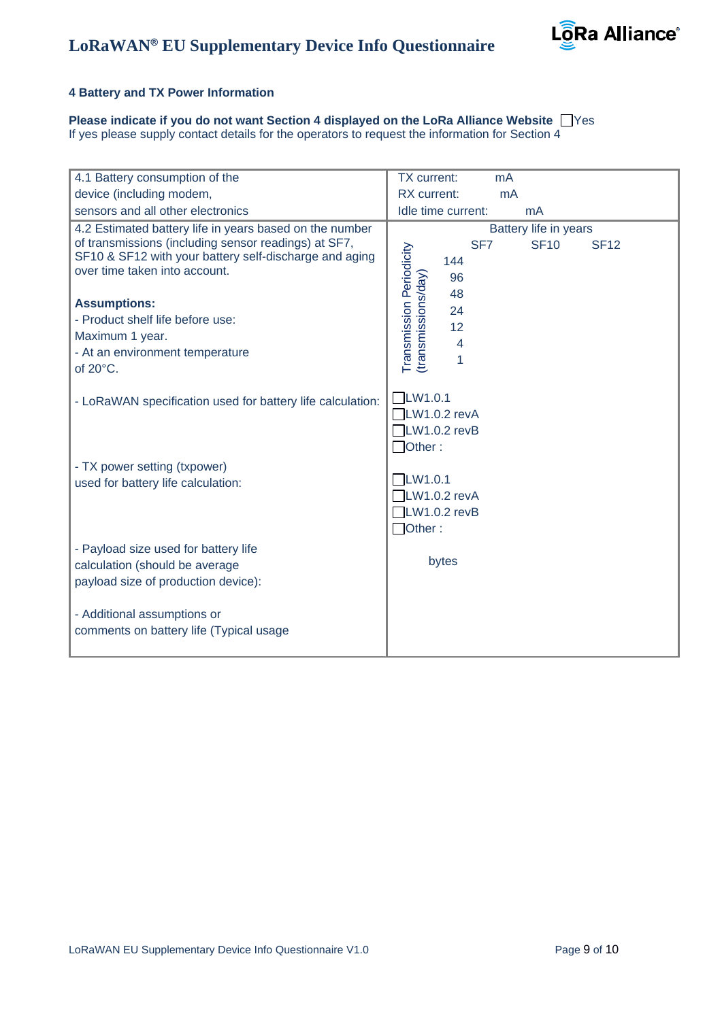

#### **4 Battery and TX Power Information**

**Please indicate if you do not want Section 4 displayed on the LoRa Alliance Website**  $\Box$ **Yes** 

If yes please supply contact details for the operators to request the information for Section 4

| device (including modem,<br>RX current:<br>mA<br>sensors and all other electronics<br>Idle time current:<br>mA<br>4.2 Estimated battery life in years based on the number<br>Battery life in years<br>of transmissions (including sensor readings) at SF7,<br><b>SF10</b><br>SF <sub>7</sub><br><b>SF12</b><br>Transmission Periodicity<br>SF10 & SF12 with your battery self-discharge and aging<br>144<br>over time taken into account.<br>(transmissions/day)<br>96<br>48<br><b>Assumptions:</b><br>24<br>- Product shelf life before use:<br>12<br>Maximum 1 year.<br>4<br>- At an environment temperature<br>1<br>of 20°C.<br>LW1.0.1<br>- LoRaWAN specification used for battery life calculation:<br>$\Box$ LW1.0.2 revA<br>$\Box$ LW1.0.2 revB<br>$\Box$ Other:<br>- TX power setting (txpower)<br>LW1.0.1<br>used for battery life calculation:<br>$\Box$ LW1.0.2 revA<br>$\Box$ LW1.0.2 revB<br>$\Box$ Other:<br>- Payload size used for battery life<br>bytes<br>calculation (should be average<br>payload size of production device):<br>- Additional assumptions or<br>comments on battery life (Typical usage | 4.1 Battery consumption of the | TX current:<br>mA |
|-----------------------------------------------------------------------------------------------------------------------------------------------------------------------------------------------------------------------------------------------------------------------------------------------------------------------------------------------------------------------------------------------------------------------------------------------------------------------------------------------------------------------------------------------------------------------------------------------------------------------------------------------------------------------------------------------------------------------------------------------------------------------------------------------------------------------------------------------------------------------------------------------------------------------------------------------------------------------------------------------------------------------------------------------------------------------------------------------------------------------------|--------------------------------|-------------------|
|                                                                                                                                                                                                                                                                                                                                                                                                                                                                                                                                                                                                                                                                                                                                                                                                                                                                                                                                                                                                                                                                                                                             |                                |                   |
|                                                                                                                                                                                                                                                                                                                                                                                                                                                                                                                                                                                                                                                                                                                                                                                                                                                                                                                                                                                                                                                                                                                             |                                |                   |
|                                                                                                                                                                                                                                                                                                                                                                                                                                                                                                                                                                                                                                                                                                                                                                                                                                                                                                                                                                                                                                                                                                                             |                                |                   |
|                                                                                                                                                                                                                                                                                                                                                                                                                                                                                                                                                                                                                                                                                                                                                                                                                                                                                                                                                                                                                                                                                                                             |                                |                   |
|                                                                                                                                                                                                                                                                                                                                                                                                                                                                                                                                                                                                                                                                                                                                                                                                                                                                                                                                                                                                                                                                                                                             |                                |                   |
|                                                                                                                                                                                                                                                                                                                                                                                                                                                                                                                                                                                                                                                                                                                                                                                                                                                                                                                                                                                                                                                                                                                             |                                |                   |
|                                                                                                                                                                                                                                                                                                                                                                                                                                                                                                                                                                                                                                                                                                                                                                                                                                                                                                                                                                                                                                                                                                                             |                                |                   |
|                                                                                                                                                                                                                                                                                                                                                                                                                                                                                                                                                                                                                                                                                                                                                                                                                                                                                                                                                                                                                                                                                                                             |                                |                   |
|                                                                                                                                                                                                                                                                                                                                                                                                                                                                                                                                                                                                                                                                                                                                                                                                                                                                                                                                                                                                                                                                                                                             |                                |                   |
|                                                                                                                                                                                                                                                                                                                                                                                                                                                                                                                                                                                                                                                                                                                                                                                                                                                                                                                                                                                                                                                                                                                             |                                |                   |
|                                                                                                                                                                                                                                                                                                                                                                                                                                                                                                                                                                                                                                                                                                                                                                                                                                                                                                                                                                                                                                                                                                                             |                                |                   |
|                                                                                                                                                                                                                                                                                                                                                                                                                                                                                                                                                                                                                                                                                                                                                                                                                                                                                                                                                                                                                                                                                                                             |                                |                   |
|                                                                                                                                                                                                                                                                                                                                                                                                                                                                                                                                                                                                                                                                                                                                                                                                                                                                                                                                                                                                                                                                                                                             |                                |                   |
|                                                                                                                                                                                                                                                                                                                                                                                                                                                                                                                                                                                                                                                                                                                                                                                                                                                                                                                                                                                                                                                                                                                             |                                |                   |
|                                                                                                                                                                                                                                                                                                                                                                                                                                                                                                                                                                                                                                                                                                                                                                                                                                                                                                                                                                                                                                                                                                                             |                                |                   |
|                                                                                                                                                                                                                                                                                                                                                                                                                                                                                                                                                                                                                                                                                                                                                                                                                                                                                                                                                                                                                                                                                                                             |                                |                   |
|                                                                                                                                                                                                                                                                                                                                                                                                                                                                                                                                                                                                                                                                                                                                                                                                                                                                                                                                                                                                                                                                                                                             |                                |                   |
|                                                                                                                                                                                                                                                                                                                                                                                                                                                                                                                                                                                                                                                                                                                                                                                                                                                                                                                                                                                                                                                                                                                             |                                |                   |
|                                                                                                                                                                                                                                                                                                                                                                                                                                                                                                                                                                                                                                                                                                                                                                                                                                                                                                                                                                                                                                                                                                                             |                                |                   |
|                                                                                                                                                                                                                                                                                                                                                                                                                                                                                                                                                                                                                                                                                                                                                                                                                                                                                                                                                                                                                                                                                                                             |                                |                   |
|                                                                                                                                                                                                                                                                                                                                                                                                                                                                                                                                                                                                                                                                                                                                                                                                                                                                                                                                                                                                                                                                                                                             |                                |                   |
|                                                                                                                                                                                                                                                                                                                                                                                                                                                                                                                                                                                                                                                                                                                                                                                                                                                                                                                                                                                                                                                                                                                             |                                |                   |
|                                                                                                                                                                                                                                                                                                                                                                                                                                                                                                                                                                                                                                                                                                                                                                                                                                                                                                                                                                                                                                                                                                                             |                                |                   |
|                                                                                                                                                                                                                                                                                                                                                                                                                                                                                                                                                                                                                                                                                                                                                                                                                                                                                                                                                                                                                                                                                                                             |                                |                   |
|                                                                                                                                                                                                                                                                                                                                                                                                                                                                                                                                                                                                                                                                                                                                                                                                                                                                                                                                                                                                                                                                                                                             |                                |                   |
|                                                                                                                                                                                                                                                                                                                                                                                                                                                                                                                                                                                                                                                                                                                                                                                                                                                                                                                                                                                                                                                                                                                             |                                |                   |
|                                                                                                                                                                                                                                                                                                                                                                                                                                                                                                                                                                                                                                                                                                                                                                                                                                                                                                                                                                                                                                                                                                                             |                                |                   |